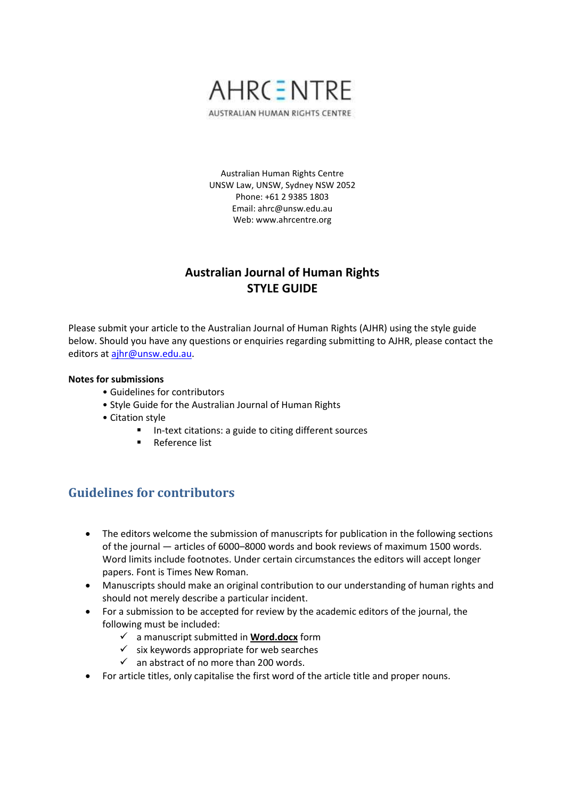

AUSTRALIAN HUMAN RIGHTS CENTRE

Australian Human Rights Centre UNSW Law, UNSW, Sydney NSW 2052 Phone: +61 2 9385 1803 Email: ahrc@unsw.edu.au Web: www.ahrcentre.org

# **Australian Journal of Human Rights STYLE GUIDE**

Please submit your article to the Australian Journal of Human Rights (AJHR) using the style guide below. Should you have any questions or enquiries regarding submitting to AJHR, please contact the editors at [ajhr@unsw.edu.au.](mailto:ajhr@unsw.edu.au)

### **Notes for submissions**

- Guidelines for contributors
- Style Guide for the Australian Journal of Human Rights
- Citation style
	- In-text citations: a guide to citing different sources
		- Reference list

# **Guidelines for contributors**

- The editors welcome the submission of manuscripts for publication in the following sections of the journal — articles of 6000–8000 words and book reviews of maximum 1500 words. Word limits include footnotes. Under certain circumstances the editors will accept longer papers. Font is Times New Roman.
- Manuscripts should make an original contribution to our understanding of human rights and should not merely describe a particular incident.
- For a submission to be accepted for review by the academic editors of the journal, the following must be included:
	- a manuscript submitted in **Word.docx** form
	- $\checkmark$  six keywords appropriate for web searches
	- $\checkmark$  an abstract of no more than 200 words.
- For article titles, only capitalise the first word of the article title and proper nouns.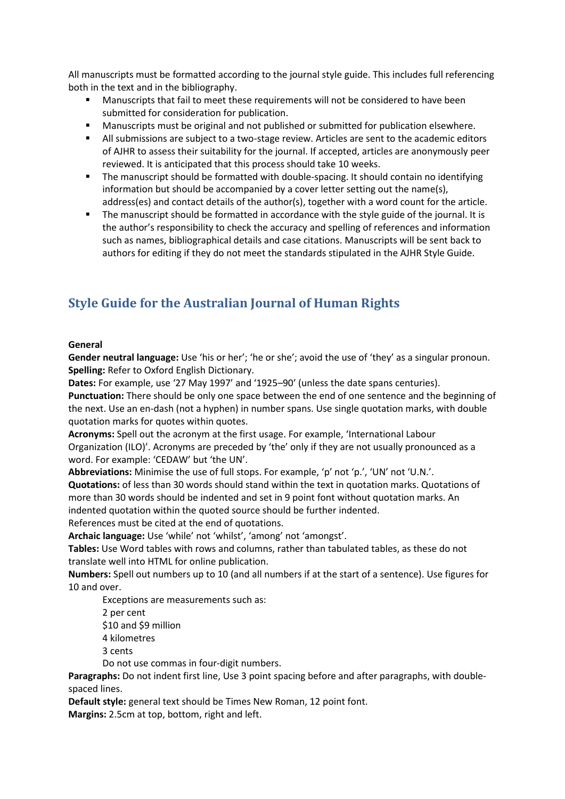All manuscripts must be formatted according to the journal style guide. This includes full referencing both in the text and in the bibliography.

- Manuscripts that fail to meet these requirements will not be considered to have been submitted for consideration for publication.
- **Manuscripts must be original and not published or submitted for publication elsewhere.**
- All submissions are subject to a two-stage review. Articles are sent to the academic editors of AJHR to assess their suitability for the journal. If accepted, articles are anonymously peer reviewed. It is anticipated that this process should take 10 weeks.
- The manuscript should be formatted with double-spacing. It should contain no identifying information but should be accompanied by a cover letter setting out the name(s), address(es) and contact details of the author(s), together with a word count for the article.
- The manuscript should be formatted in accordance with the style guide of the journal. It is the author's responsibility to check the accuracy and spelling of references and information such as names, bibliographical details and case citations. Manuscripts will be sent back to authors for editing if they do not meet the standards stipulated in the AJHR Style Guide.

# **Style Guide for the Australian Journal of Human Rights**

## **General**

**Gender neutral language:** Use 'his or her'; 'he or she'; avoid the use of 'they' as a singular pronoun. **Spelling:** Refer to Oxford English Dictionary.

**Dates:** For example, use '27 May 1997' and '1925–90' (unless the date spans centuries).

**Punctuation:** There should be only one space between the end of one sentence and the beginning of the next. Use an en-dash (not a hyphen) in number spans. Use single quotation marks, with double quotation marks for quotes within quotes.

**Acronyms:** Spell out the acronym at the first usage. For example, 'International Labour Organization (ILO)'. Acronyms are preceded by 'the' only if they are not usually pronounced as a word. For example: 'CEDAW' but 'the UN'.

**Abbreviations:** Minimise the use of full stops. For example, 'p' not 'p.', 'UN' not 'U.N.'.

**Quotations:** of less than 30 words should stand within the text in quotation marks. Quotations of more than 30 words should be indented and set in 9 point font without quotation marks. An indented quotation within the quoted source should be further indented.

References must be cited at the end of quotations.

**Archaic language:** Use 'while' not 'whilst', 'among' not 'amongst'.

**Tables:** Use Word tables with rows and columns, rather than tabulated tables, as these do not translate well into HTML for online publication.

**Numbers:** Spell out numbers up to 10 (and all numbers if at the start of a sentence). Use figures for 10 and over.

Exceptions are measurements such as:

2 per cent

\$10 and \$9 million 4 kilometres

3 cents

Do not use commas in four-digit numbers.

**Paragraphs:** Do not indent first line, Use 3 point spacing before and after paragraphs, with doublespaced lines.

**Default style:** general text should be Times New Roman, 12 point font.

**Margins:** 2.5cm at top, bottom, right and left.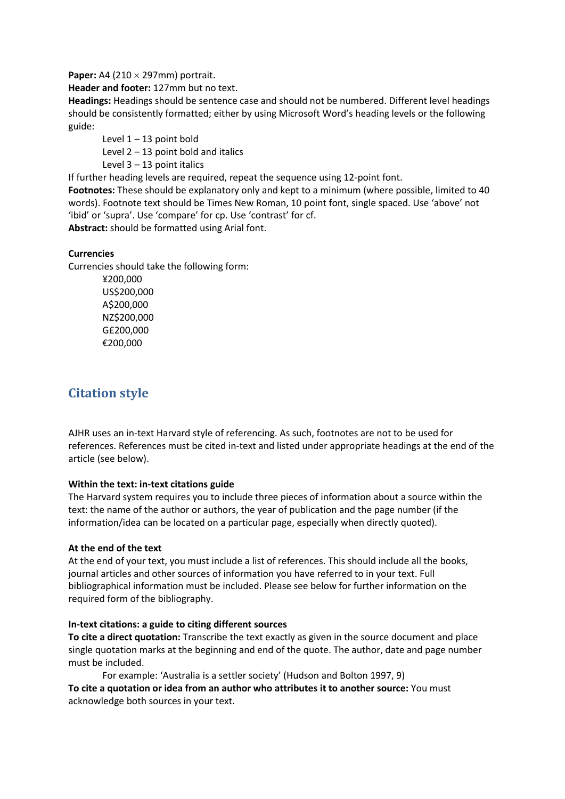**Paper:** A4 (210 × 297mm) portrait.

**Header and footer:** 127mm but no text.

**Headings:** Headings should be sentence case and should not be numbered. Different level headings should be consistently formatted; either by using Microsoft Word's heading levels or the following guide:

Level  $1 - 13$  point bold

Level  $2 - 13$  point bold and italics

Level  $3 - 13$  point italics

If further heading levels are required, repeat the sequence using 12-point font.

**Footnotes:** These should be explanatory only and kept to a minimum (where possible, limited to 40 words). Footnote text should be Times New Roman, 10 point font, single spaced. Use 'above' not 'ibid' or 'supra'. Use 'compare' for cp. Use 'contrast' for cf.

**Abstract:** should be formatted using Arial font.

# **Currencies**

Currencies should take the following form:

¥200,000 US\$200,000 A\$200,000 NZ\$200,000 G£200,000 €200,000

# **Citation style**

AJHR uses an in-text Harvard style of referencing. As such, footnotes are not to be used for references. References must be cited in-text and listed under appropriate headings at the end of the article (see below).

## **Within the text: in-text citations guide**

The Harvard system requires you to include three pieces of information about a source within the text: the name of the author or authors, the year of publication and the page number (if the information/idea can be located on a particular page, especially when directly quoted).

# **At the end of the text**

At the end of your text, you must include a list of references. This should include all the books, journal articles and other sources of information you have referred to in your text. Full bibliographical information must be included. Please see below for further information on the required form of the bibliography.

## **In-text citations: a guide to citing different sources**

**To cite a direct quotation:** Transcribe the text exactly as given in the source document and place single quotation marks at the beginning and end of the quote. The author, date and page number must be included.

For example: 'Australia is a settler society' (Hudson and Bolton 1997, 9)

**To cite a quotation or idea from an author who attributes it to another source:** You must acknowledge both sources in your text.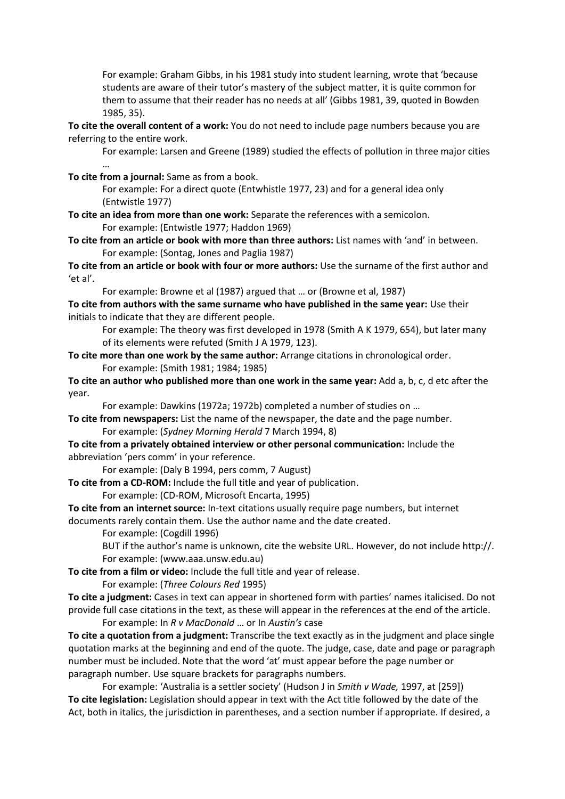For example: Graham Gibbs, in his 1981 study into student learning, wrote that 'because students are aware of their tutor's mastery of the subject matter, it is quite common for them to assume that their reader has no needs at all' (Gibbs 1981, 39, quoted in Bowden 1985, 35).

**To cite the overall content of a work:** You do not need to include page numbers because you are referring to the entire work.

For example: Larsen and Greene (1989) studied the effects of pollution in three major cities

**To cite from a journal:** Same as from a book.

…

For example: For a direct quote (Entwhistle 1977, 23) and for a general idea only (Entwistle 1977)

**To cite an idea from more than one work:** Separate the references with a semicolon. For example: (Entwistle 1977; Haddon 1969)

**To cite from an article or book with more than three authors:** List names with 'and' in between. For example: (Sontag, Jones and Paglia 1987)

**To cite from an article or book with four or more authors:** Use the surname of the first author and 'et al'.

For example: Browne et al (1987) argued that … or (Browne et al, 1987)

**To cite from authors with the same surname who have published in the same year:** Use their initials to indicate that they are different people.

For example: The theory was first developed in 1978 (Smith A K 1979, 654), but later many of its elements were refuted (Smith J A 1979, 123).

**To cite more than one work by the same author:** Arrange citations in chronological order. For example: (Smith 1981; 1984; 1985)

**To cite an author who published more than one work in the same year:** Add a, b, c, d etc after the year.

For example: Dawkins (1972a; 1972b) completed a number of studies on …

**To cite from newspapers:** List the name of the newspaper, the date and the page number. For example: (*Sydney Morning Herald* 7 March 1994, 8)

**To cite from a privately obtained interview or other personal communication:** Include the abbreviation 'pers comm' in your reference.

For example: (Daly B 1994, pers comm, 7 August)

**To cite from a CD-ROM:** Include the full title and year of publication.

For example: (CD-ROM, Microsoft Encarta, 1995)

**To cite from an internet source:** In-text citations usually require page numbers, but internet documents rarely contain them. Use the author name and the date created.

For example: (Cogdill 1996)

BUT if the author's name is unknown, cite the website URL. However, do not include http://. For example: (www.aaa.unsw.edu.au)

**To cite from a film or video:** Include the full title and year of release.

For example: (*Three Colours Red* 1995)

**To cite a judgment:** Cases in text can appear in shortened form with parties' names italicised. Do not provide full case citations in the text, as these will appear in the references at the end of the article. For example: In *R v MacDonald* … or In *Austin's* case

**To cite a quotation from a judgment:** Transcribe the text exactly as in the judgment and place single quotation marks at the beginning and end of the quote. The judge, case, date and page or paragraph number must be included. Note that the word 'at' must appear before the page number or paragraph number. Use square brackets for paragraphs numbers.

For example: 'Australia is a settler society' (Hudson J in *Smith v Wade,* 1997, at [259]) **To cite legislation:** Legislation should appear in text with the Act title followed by the date of the Act, both in italics, the jurisdiction in parentheses, and a section number if appropriate. If desired, a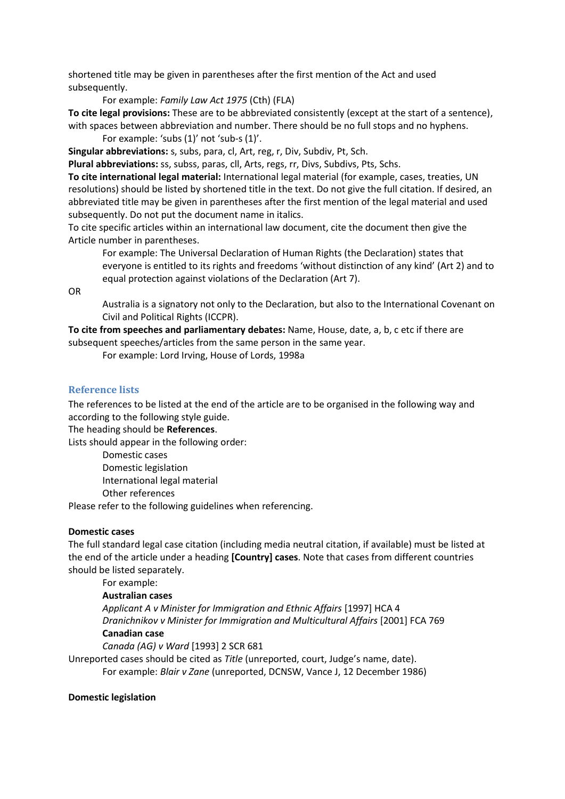shortened title may be given in parentheses after the first mention of the Act and used subsequently.

For example: *Family Law Act 1975* (Cth) (FLA)

**To cite legal provisions:** These are to be abbreviated consistently (except at the start of a sentence), with spaces between abbreviation and number. There should be no full stops and no hyphens.

For example: 'subs (1)' not 'sub-s (1)'.

**Singular abbreviations:** s, subs, para, cl, Art, reg, r, Div, Subdiv, Pt, Sch.

**Plural abbreviations:** ss, subss, paras, cll, Arts, regs, rr, Divs, Subdivs, Pts, Schs.

**To cite international legal material:** International legal material (for example, cases, treaties, UN resolutions) should be listed by shortened title in the text. Do not give the full citation. If desired, an abbreviated title may be given in parentheses after the first mention of the legal material and used subsequently. Do not put the document name in italics.

To cite specific articles within an international law document, cite the document then give the Article number in parentheses.

For example: The Universal Declaration of Human Rights (the Declaration) states that everyone is entitled to its rights and freedoms 'without distinction of any kind' (Art 2) and to equal protection against violations of the Declaration (Art 7).

OR

Australia is a signatory not only to the Declaration, but also to the International Covenant on Civil and Political Rights (ICCPR).

**To cite from speeches and parliamentary debates:** Name, House, date, a, b, c etc if there are subsequent speeches/articles from the same person in the same year.

For example: Lord Irving, House of Lords, 1998a

## **Reference lists**

The references to be listed at the end of the article are to be organised in the following way and according to the following style guide.

The heading should be **References**.

Lists should appear in the following order:

Domestic cases

Domestic legislation International legal material Other references

Please refer to the following guidelines when referencing.

## **Domestic cases**

The full standard legal case citation (including media neutral citation, if available) must be listed at the end of the article under a heading **[Country] cases**. Note that cases from different countries should be listed separately.

For example:

# **Australian cases**

*Applicant A v Minister for Immigration and Ethnic Affairs* [1997] HCA 4 *Dranichnikov v Minister for Immigration and Multicultural Affairs* [2001] FCA 769 **Canadian case** 

*Canada (AG) v Ward* [1993] 2 SCR 681

Unreported cases should be cited as *Title* (unreported, court, Judge's name, date). For example: *Blair v Zane* (unreported, DCNSW, Vance J, 12 December 1986)

## **Domestic legislation**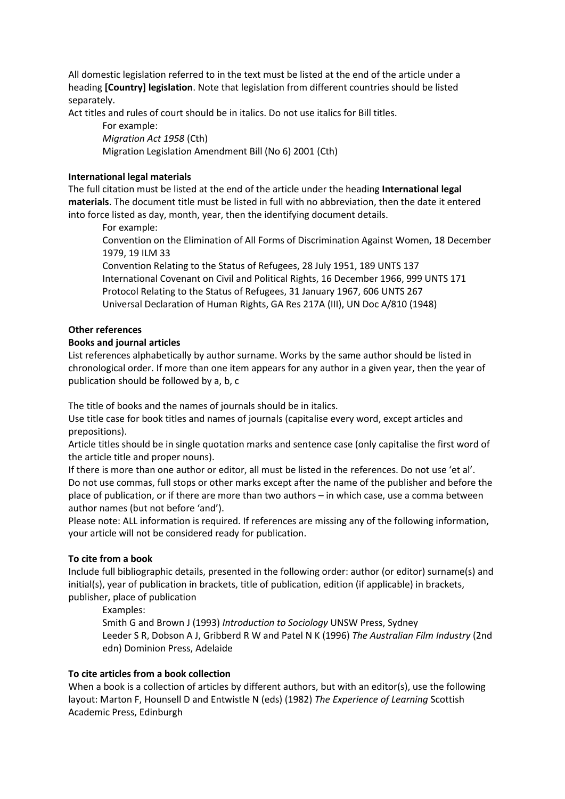All domestic legislation referred to in the text must be listed at the end of the article under a heading **[Country] legislation**. Note that legislation from different countries should be listed separately.

Act titles and rules of court should be in italics. Do not use italics for Bill titles.

For example:

*Migration Act 1958* (Cth)

Migration Legislation Amendment Bill (No 6) 2001 (Cth)

# **International legal materials**

The full citation must be listed at the end of the article under the heading **International legal materials**. The document title must be listed in full with no abbreviation, then the date it entered into force listed as day, month, year, then the identifying document details.

For example:

Convention on the Elimination of All Forms of Discrimination Against Women, 18 December 1979, 19 ILM 33

Convention Relating to the Status of Refugees, 28 July 1951, 189 UNTS 137 International Covenant on Civil and Political Rights, 16 December 1966, 999 UNTS 171 Protocol Relating to the Status of Refugees, 31 January 1967, 606 UNTS 267 Universal Declaration of Human Rights, GA Res 217A (III), UN Doc A/810 (1948)

# **Other references**

# **Books and journal articles**

List references alphabetically by author surname. Works by the same author should be listed in chronological order. If more than one item appears for any author in a given year, then the year of publication should be followed by a, b, c

The title of books and the names of journals should be in italics.

Use title case for book titles and names of journals (capitalise every word, except articles and prepositions).

Article titles should be in single quotation marks and sentence case (only capitalise the first word of the article title and proper nouns).

If there is more than one author or editor, all must be listed in the references. Do not use 'et al'. Do not use commas, full stops or other marks except after the name of the publisher and before the place of publication, or if there are more than two authors – in which case, use a comma between author names (but not before 'and').

Please note: ALL information is required. If references are missing any of the following information, your article will not be considered ready for publication.

# **To cite from a book**

Include full bibliographic details, presented in the following order: author (or editor) surname(s) and initial(s), year of publication in brackets, title of publication, edition (if applicable) in brackets, publisher, place of publication

Examples:

Smith G and Brown J (1993) *Introduction to Sociology* UNSW Press, Sydney Leeder S R, Dobson A J, Gribberd R W and Patel N K (1996) *The Australian Film Industry* (2nd edn) Dominion Press, Adelaide

# **To cite articles from a book collection**

When a book is a collection of articles by different authors, but with an editor(s), use the following layout: Marton F, Hounsell D and Entwistle N (eds) (1982) *The Experience of Learning* Scottish Academic Press, Edinburgh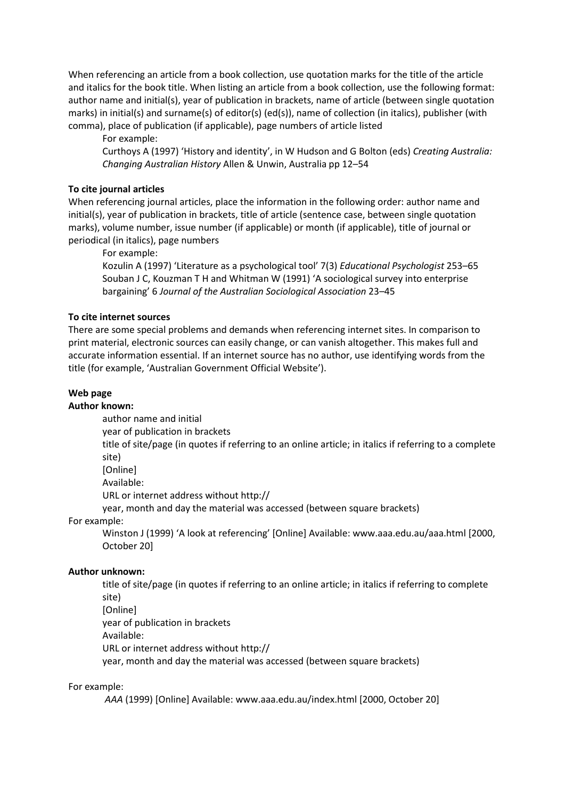When referencing an article from a book collection, use quotation marks for the title of the article and italics for the book title. When listing an article from a book collection, use the following format: author name and initial(s), year of publication in brackets, name of article (between single quotation marks) in initial(s) and surname(s) of editor(s) (ed(s)), name of collection (in italics), publisher (with comma), place of publication (if applicable), page numbers of article listed

For example:

Curthoys A (1997) 'History and identity', in W Hudson and G Bolton (eds) *Creating Australia: Changing Australian History* Allen & Unwin, Australia pp 12–54

#### **To cite journal articles**

When referencing journal articles, place the information in the following order: author name and initial(s), year of publication in brackets, title of article (sentence case, between single quotation marks), volume number, issue number (if applicable) or month (if applicable), title of journal or periodical (in italics), page numbers

For example:

Kozulin A (1997) 'Literature as a psychological tool' 7(3) *Educational Psychologist* 253–65 Souban J C, Kouzman T H and Whitman W (1991) 'A sociological survey into enterprise bargaining' 6 *Journal of the Australian Sociological Association* 23–45

#### **To cite internet sources**

There are some special problems and demands when referencing internet sites. In comparison to print material, electronic sources can easily change, or can vanish altogether. This makes full and accurate information essential. If an internet source has no author, use identifying words from the title (for example, 'Australian Government Official Website').

#### **Web page**

#### **Author known:**

author name and initial

year of publication in brackets

title of site/page (in quotes if referring to an online article; in italics if referring to a complete site)

[Online]

Available:

URL or internet address without http://

year, month and day the material was accessed (between square brackets)

For example:

Winston J (1999) 'A look at referencing' [Online] Available: www.aaa.edu.au/aaa.html [2000, October 20]

#### **Author unknown:**

title of site/page (in quotes if referring to an online article; in italics if referring to complete site) [Online] year of publication in brackets Available: URL or internet address without http:// year, month and day the material was accessed (between square brackets)

#### For example:

*AAA* (1999) [Online] Available: www.aaa.edu.au/index.html [2000, October 20]